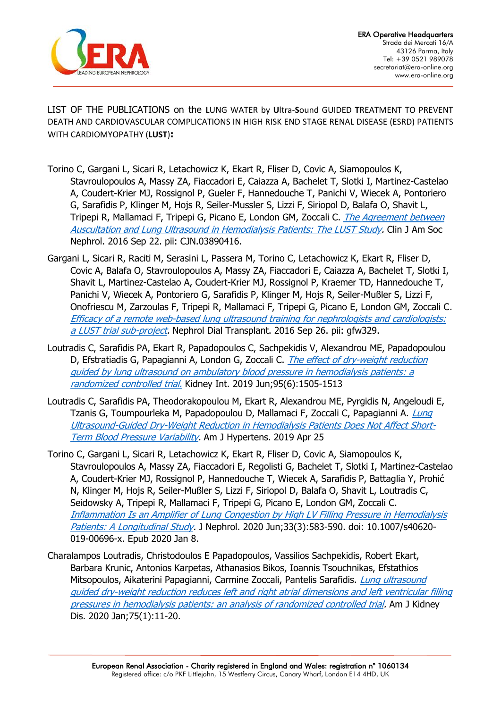

LIST OF THE PUBLICATIONS on the **L**UNG WATER by **U**ltra-**S**ound GUIDED **T**REATMENT TO PREVENT DEATH AND CARDIOVASCULAR COMPLICATIONS IN HIGH RISK END STAGE RENAL DISEASE (ESRD) PATIENTS WITH CARDIOMYOPATHY (**LUST**)**:**

- Torino C, Gargani L, Sicari R, Letachowicz K, Ekart R, Fliser D, Covic A, Siamopoulos K, Stavroulopoulos A, Massy ZA, Fiaccadori E, Caiazza A, Bachelet T, Slotki I, Martinez-Castelao A, Coudert-Krier MJ, Rossignol P, Gueler F, Hannedouche T, Panichi V, Wiecek A, Pontoriero G, Sarafidis P, Klinger M, Hojs R, Seiler-Mussler S, Lizzi F, Siriopol D, Balafa O, Shavit L, Tripepi R, Mallamaci F, Tripepi G, Picano E, London GM, Zoccali C. The Agreement between [Auscultation and Lung Ultrasound in Hemodialysis Patients: The LUST Study.](https://cjasn.asnjournals.org/content/11/11/2005.long) Clin J Am Soc Nephrol. 2016 Sep 22. pii: CJN.03890416.
- Gargani L, Sicari R, Raciti M, Serasini L, Passera M, Torino C, Letachowicz K, Ekart R, Fliser D, Covic A, Balafa O, Stavroulopoulos A, Massy ZA, Fiaccadori E, Caiazza A, Bachelet T, Slotki I, Shavit L, Martinez-Castelao A, Coudert-Krier MJ, Rossignol P, Kraemer TD, Hannedouche T, Panichi V, Wiecek A, Pontoriero G, Sarafidis P, Klinger M, Hojs R, Seiler-Mußler S, Lizzi F, Onofriescu M, Zarzoulas F, Tripepi R, Mallamaci F, Tripepi G, Picano E, London GM, Zoccali C. [Efficacy of a remote web-based lung ultrasound training for nephrologists and cardiologists:](https://academic.oup.com/ndt/article/31/12/1982/2661710)  [a LUST trial sub-project.](https://academic.oup.com/ndt/article/31/12/1982/2661710) Nephrol Dial Transplant. 2016 Sep 26. pii: gfw329.
- Loutradis C, Sarafidis PA, Ekart R, Papadopoulos C, Sachpekidis V, Alexandrou ME, Papadopoulou D, Efstratiadis G, Papagianni A, London G, Zoccali C. *The effect of dry-weight reduction* [guided by lung ultrasound on ambulatory blood pressure in hemodialysis patients: a](https://linkinghub.elsevier.com/retrieve/pii/S0085-2538(19)30270-4)  [randomized controlled trial.](https://linkinghub.elsevier.com/retrieve/pii/S0085-2538(19)30270-4) Kidney Int. 2019 Jun;95(6):1505-1513
- Loutradis C, Sarafidis PA, Theodorakopoulou M, Ekart R, Alexandrou ME, Pyrgidis N, Angeloudi E, Tzanis G, Toumpourleka M, Papadopoulou D, Mallamaci F, Zoccali C, Papagianni A. *Lung* [Ultrasound-Guided Dry-Weight Reduction in Hemodialysis Patients Does Not Affect Short-](https://academic.oup.com/ajh/article/32/8/786/5479516)[Term Blood Pressure Variability.](https://academic.oup.com/ajh/article/32/8/786/5479516) Am J Hypertens. 2019 Apr 25
- Torino C, Gargani L, Sicari R, Letachowicz K, Ekart R, Fliser D, Covic A, Siamopoulos K, Stavroulopoulos A, Massy ZA, Fiaccadori E, Regolisti G, Bachelet T, Slotki I, Martinez-Castelao A, Coudert-Krier MJ, Rossignol P, Hannedouche T, Wiecek A, Sarafidis P, Battaglia Y, Prohić N, Klinger M, Hojs R, Seiler-Mußler S, Lizzi F, Siriopol D, Balafa O, Shavit L, Loutradis C, Seidowsky A, Tripepi R, Mallamaci F, Tripepi G, Picano E, London GM, Zoccali C. [Inflammation Is an Amplifier of Lung Congestion by High LV Filling Pressure in Hemodialysis](https://dx.doi.org/10.1007/s40620-019-00696-x)  [Patients: A Longitudinal Study.](https://dx.doi.org/10.1007/s40620-019-00696-x) J Nephrol. 2020 Jun;33(3):583-590. doi: 10.1007/s40620-019-00696-x. Epub 2020 Jan 8.
- Charalampos Loutradis, Christodoulos E Papadopoulos, Vassilios Sachpekidis, Robert Ekart, Barbara Krunic, Antonios Karpetas, Athanasios Bikos, Ioannis Tsouchnikas, Efstathios Mitsopoulos, Aikaterini Papagianni, Carmine Zoccali, Pantelis Sarafidis. Lung ultrasound [guided dry-weight reduction reduces left and right atrial dimensions and left ventricular filling](https://www.ajkd.org/article/S0272-6386(19)31005-4/fulltext)  [pressures in hemodialysis patients: an analysis of randomized controlled trial.](https://www.ajkd.org/article/S0272-6386(19)31005-4/fulltext) Am J Kidney Dis. 2020 Jan;75(1):11-20.